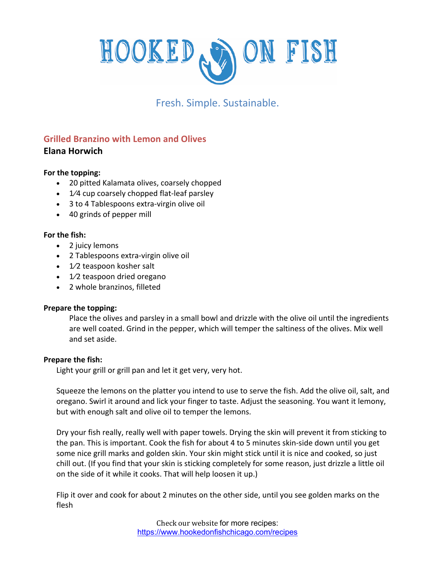

# Fresh. Simple. Sustainable.

## **Grilled Branzino with Lemon and Olives Elana Horwich**

### **For the topping:**

- 20 pitted Kalamata olives, coarsely chopped
- 1/4 cup coarsely chopped flat-leaf parsley
- 3 to 4 Tablespoons extra-virgin olive oil
- 40 grinds of pepper mill

#### **For the fish:**

- 2 juicy lemons
- 2 Tablespoons extra-virgin olive oil
- 1⁄2 teaspoon kosher salt
- 1/2 teaspoon dried oregano
- 2 whole branzinos, filleted

#### **Prepare the topping:**

Place the olives and parsley in a small bowl and drizzle with the olive oil until the ingredients are well coated. Grind in the pepper, which will temper the saltiness of the olives. Mix well and set aside.

#### **Prepare the fish:**

Light your grill or grill pan and let it get very, very hot.

Squeeze the lemons on the platter you intend to use to serve the fish. Add the olive oil, salt, and oregano. Swirl it around and lick your finger to taste. Adjust the seasoning. You want it lemony, but with enough salt and olive oil to temper the lemons.

Dry your fish really, really well with paper towels. Drying the skin will prevent it from sticking to the pan. This is important. Cook the fish for about 4 to 5 minutes skin-side down until you get some nice grill marks and golden skin. Your skin might stick until it is nice and cooked, so just chill out. (If you find that your skin is sticking completely for some reason, just drizzle a little oil on the side of it while it cooks. That will help loosen it up.)

Flip it over and cook for about 2 minutes on the other side, until you see golden marks on the flesh